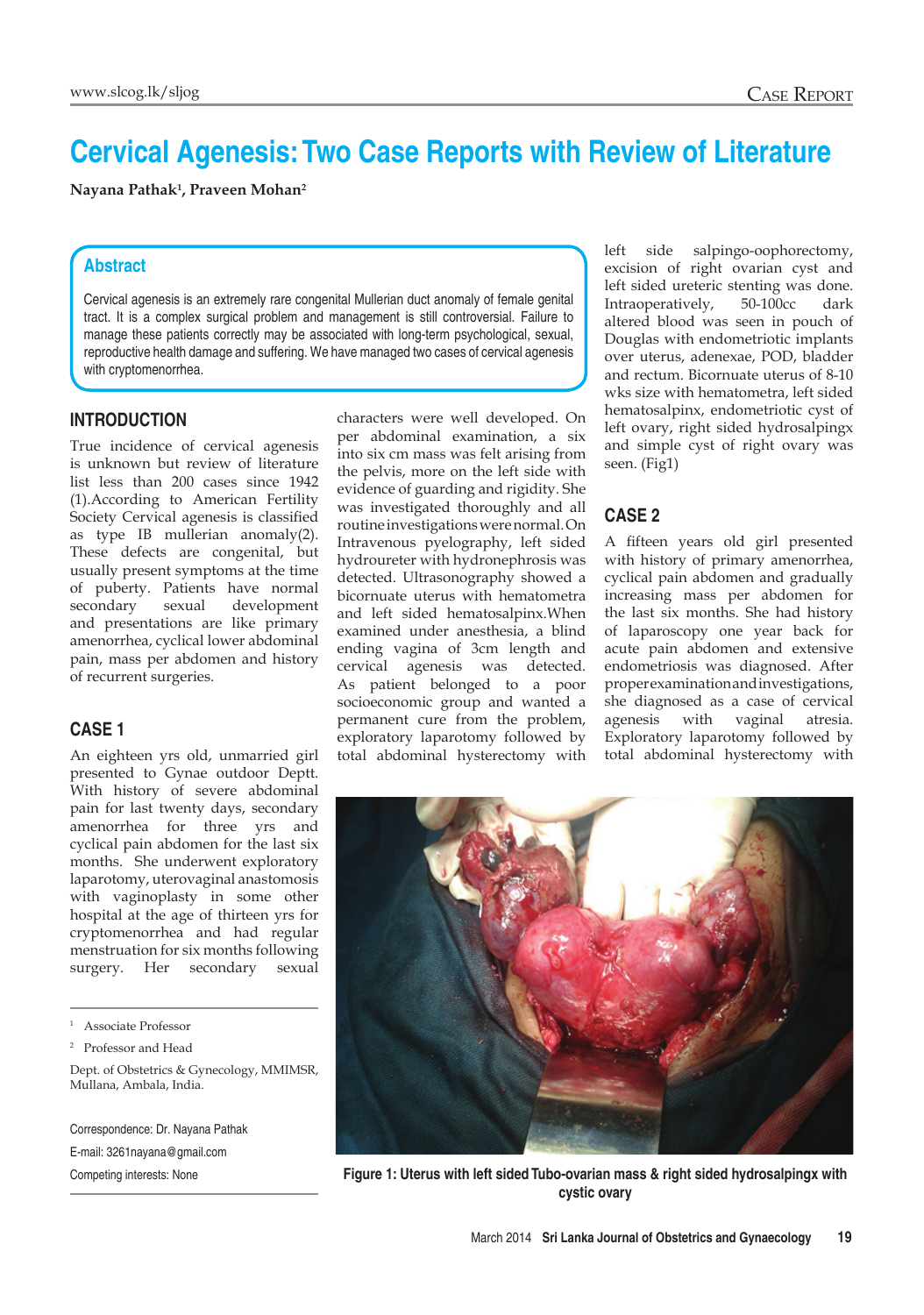# **Cervical Agenesis: Two Case Reports with Review of Literature**

**Nayana Pathak1 , Praveen Mohan2**

# **Abstract**

Cervical agenesis is an extremely rare congenital Mullerian duct anomaly of female genital tract. It is a complex surgical problem and management is still controversial. Failure to manage these patients correctly may be associated with long-term psychological, sexual, reproductive health damage and suffering. We have managed two cases of cervical agenesis with cryptomenorrhea.

#### **Introduction**

True incidence of cervical agenesis is unknown but review of literature list less than 200 cases since 1942 (1).According to American Fertility Society Cervical agenesis is classified as type IB mullerian anomaly(2). These defects are congenital, but usually present symptoms at the time of puberty. Patients have normal secondary sexual development and presentations are like primary amenorrhea, cyclical lower abdominal pain, mass per abdomen and history of recurrent surgeries.

#### **Case 1**

An eighteen yrs old, unmarried girl presented to Gynae outdoor Deptt. With history of severe abdominal pain for last twenty days, secondary amenorrhea for three yrs and cyclical pain abdomen for the last six months. She underwent exploratory laparotomy, uterovaginal anastomosis with vaginoplasty in some other hospital at the age of thirteen yrs for cryptomenorrhea and had regular menstruation for six months following surgery. Her secondary sexual

Correspondence: Dr. Nayana Pathak E-mail: 3261nayana@gmail.com

characters were well developed. On per abdominal examination, a six into six cm mass was felt arising from the pelvis, more on the left side with evidence of guarding and rigidity. She was investigated thoroughly and all routine investigations were normal. On Intravenous pyelography, left sided hydroureter with hydronephrosis was detected. Ultrasonography showed a bicornuate uterus with hematometra and left sided hematosalpinx.When examined under anesthesia, a blind ending vagina of 3cm length and cervical agenesis was detected. As patient belonged to a poor socioeconomic group and wanted a permanent cure from the problem, exploratory laparotomy followed by total abdominal hysterectomy with left side salpingo-oophorectomy, excision of right ovarian cyst and left sided ureteric stenting was done. Intraoperatively, 50-100cc dark altered blood was seen in pouch of Douglas with endometriotic implants over uterus, adenexae, POD, bladder and rectum. Bicornuate uterus of 8-10 wks size with hematometra, left sided hematosalpinx, endometriotic cyst of left ovary, right sided hydrosalpingx and simple cyst of right ovary was seen. (Fig1)

### **Case 2**

A fifteen years old girl presented with history of primary amenorrhea, cyclical pain abdomen and gradually increasing mass per abdomen for the last six months. She had history of laparoscopy one year back for acute pain abdomen and extensive endometriosis was diagnosed. After proper examination and investigations, she diagnosed as a case of cervical agenesis with vaginal atresia. Exploratory laparotomy followed by total abdominal hysterectomy with



Competing interests: None **Figure 1: Uterus with left sided Tubo-ovarian mass & right sided hydrosalpingx with cystic ovary**

<sup>1</sup> Associate Professor

<sup>2</sup> Professor and Head

Dept. of Obstetrics & Gynecology, MMIMSR, Mullana, Ambala, India.